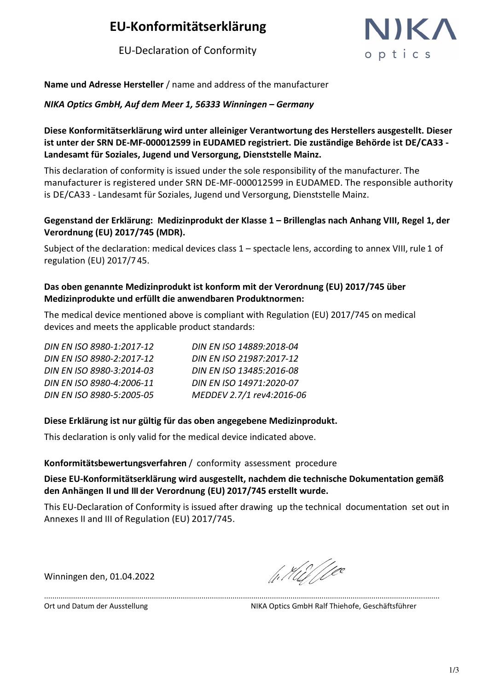## **EU-Konformitätserklärung**

EU-Declaration of Conformity



**Name und Adresse Hersteller** / name and address of the manufacturer

*NIKA Optics GmbH, Auf dem Meer 1, 56333 Winningen – Germany* 

**Diese Konformitätserklärung wird unter alleiniger Verantwortung des Herstellers ausgestellt. Dieser ist unter der SRN DE-MF-000012599 in EUDAMED registriert. Die zuständige Behörde ist DE/CA33 - Landesamt für Soziales, Jugend und Versorgung, Dienststelle Mainz.**

This declaration of conformity is issued under the sole responsibility of the manufacturer. The manufacturer is registered under SRN DE-MF-000012599 in EUDAMED. The responsible authority is DE/CA33 - Landesamt für Soziales, Jugend und Versorgung, Dienststelle Mainz.

#### **Gegenstand der Erklärung: Medizinprodukt der Klasse 1 – Brillenglas nach Anhang VIII, Regel 1, der Verordnung (EU) 2017/745 (MDR).**

Subject of the declaration: medical devices class 1 – spectacle lens, according to annex VIII, rule 1 of regulation (EU) 2017/7 45.

#### **Das oben genannte Medizinprodukt ist konform mit der Verordnung (EU) 2017/745 über Medizinprodukte und erfüllt die anwendbaren Produktnormen:**

The medical device mentioned above is compliant with Regulation (EU) 2017/745 on medical devices and meets the applicable product standards:

| DIN EN ISO 14889:2018-04  |
|---------------------------|
| DIN EN ISO 21987:2017-12  |
| DIN EN ISO 13485:2016-08  |
| DIN EN ISO 14971:2020-07  |
| MEDDEV 2.7/1 rev4:2016-06 |
|                           |

#### **Diese Erklärung ist nur gültig für das oben angegebene Medizinprodukt.**

This declaration is only valid for the medical device indicated above.

#### **Konformitätsbewertungsverfahren** / conformity assessment procedure

#### **Diese EU-Konformitätserklärung wird ausgestellt, nachdem die technische Dokumentation gemäß den Anhängen II und III der Verordnung (EU) 2017/745 erstellt wurde.**

This EU-Declaration of Conformity is issued after drawing up the technical documentation set out in Annexes II and III of Regulation (EU) 2017/745.

...............................................................................................................................................................................................

Winningen den, 01.04.2022

/1. Hil / Lec

Ort und Datum der Ausstellung NIKA Optics GmbH Ralf Thiehofe, Geschäftsführer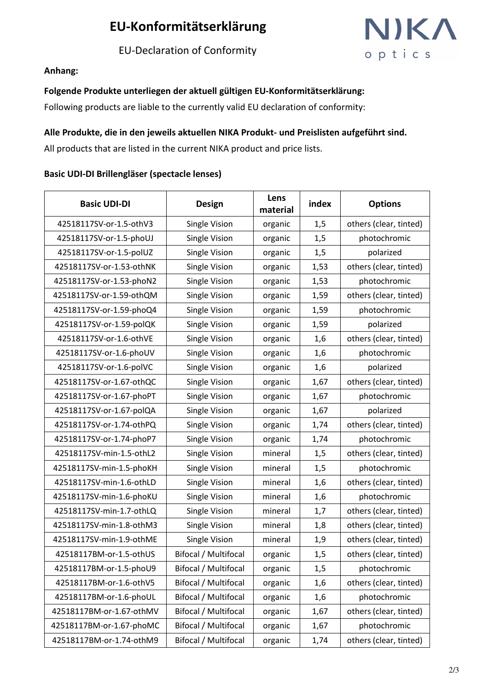## **EU-Konformitätserklärung**

EU-Declaration of Conformity



#### **Anhang:**

#### **Folgende Produkte unterliegen der aktuell gültigen EU-Konformitätserklärung:**

Following products are liable to the currently valid EU declaration of conformity:

#### **Alle Produkte, die in den jeweils aktuellen NIKA Produkt- und Preislisten aufgeführt sind.**

All products that are listed in the current NIKA product and price lists.

#### **Basic UDI-DI Brillengläser (spectacle lenses)**

| <b>Basic UDI-DI</b>      | <b>Design</b>               | Lens<br>material | index | <b>Options</b>         |
|--------------------------|-----------------------------|------------------|-------|------------------------|
| 42518117SV-or-1.5-othV3  | Single Vision               | organic          | 1,5   | others (clear, tinted) |
| 42518117SV-or-1.5-phoUJ  | Single Vision               | organic          | 1,5   | photochromic           |
| 42518117SV-or-1.5-polUZ  | Single Vision               | organic          | 1,5   | polarized              |
| 42518117SV-or-1.53-othNK | Single Vision               | organic          | 1,53  | others (clear, tinted) |
| 42518117SV-or-1.53-phoN2 | Single Vision               | organic          | 1,53  | photochromic           |
| 42518117SV-or-1.59-othQM | <b>Single Vision</b>        | organic          | 1,59  | others (clear, tinted) |
| 42518117SV-or-1.59-phoQ4 | Single Vision               | organic          | 1,59  | photochromic           |
| 42518117SV-or-1.59-polQK | Single Vision               | organic          | 1,59  | polarized              |
| 42518117SV-or-1.6-othVE  | Single Vision               | organic          | 1,6   | others (clear, tinted) |
| 42518117SV-or-1.6-phoUV  | Single Vision               | organic          | 1,6   | photochromic           |
| 42518117SV-or-1.6-polVC  | Single Vision               | organic          | 1,6   | polarized              |
| 42518117SV-or-1.67-othQC | Single Vision               | organic          | 1,67  | others (clear, tinted) |
| 42518117SV-or-1.67-phoPT | Single Vision               | organic          | 1,67  | photochromic           |
| 42518117SV-or-1.67-polQA | Single Vision               | organic          | 1,67  | polarized              |
| 42518117SV-or-1.74-othPQ | Single Vision               | organic          | 1,74  | others (clear, tinted) |
| 42518117SV-or-1.74-phoP7 | Single Vision               | organic          | 1,74  | photochromic           |
| 42518117SV-min-1.5-othL2 | Single Vision               | mineral          | 1,5   | others (clear, tinted) |
| 42518117SV-min-1.5-phoKH | Single Vision               | mineral          | 1,5   | photochromic           |
| 42518117SV-min-1.6-othLD | Single Vision               | mineral          | 1,6   | others (clear, tinted) |
| 42518117SV-min-1.6-phoKU | Single Vision               | mineral          | 1,6   | photochromic           |
| 42518117SV-min-1.7-othLQ | Single Vision               | mineral          | 1,7   | others (clear, tinted) |
| 42518117SV-min-1.8-othM3 | Single Vision               | mineral          | 1,8   | others (clear, tinted) |
| 42518117SV-min-1.9-othME | Single Vision               | mineral          | 1,9   | others (clear, tinted) |
| 42518117BM-or-1.5-othUS  | Bifocal / Multifocal        | organic          | 1,5   | others (clear, tinted) |
| 42518117BM-or-1.5-phoU9  | Bifocal / Multifocal        | organic          | 1,5   | photochromic           |
| 42518117BM-or-1.6-othV5  | Bifocal / Multifocal        | organic          | 1,6   | others (clear, tinted) |
| 42518117BM-or-1.6-phoUL  | Bifocal / Multifocal        | organic          | 1,6   | photochromic           |
| 42518117BM-or-1.67-othMV | Bifocal / Multifocal        | organic          | 1,67  | others (clear, tinted) |
| 42518117BM-or-1.67-phoMC | <b>Bifocal / Multifocal</b> | organic          | 1,67  | photochromic           |
| 42518117BM-or-1.74-othM9 | Bifocal / Multifocal        | organic          | 1,74  | others (clear, tinted) |